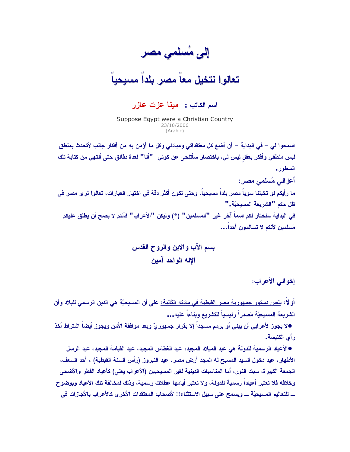إلى مُسلمي مصر

تعالوا نتخيل معاً مصر يلداً مسيحياً

## اسم الكاتب : مينـا عزت عازر

Suppose Egypt were a Christian Country 23/10/2006  $(Arahich)$ 

اسمحوا لـى – فـي البدايـة – أن أضـع كل معتقداتي ومبـادئـي وكل مـا أؤمن بـه من أفكار جانب لأتحدث بمنطق ليس منطقي وأفكر بعقل ليس لي، باختصار سأتنحى عن كوني "أنا" لعدة دقائق حتى أنتهى من كتابة تلك السطور . أعزائي مُسلمي مصر : ما رأيكم لو. تخيلنا سوياً مصر. بلداً مسيحياً، وحتى نكون أكثر دقة في اختيار. العبارات، تعالوا نرى مصر. في ظل حكم "الشريعة المسبحيّة." في البداية سنختار لكم اسماً آخر غير. "المسلمين" (\*) وليكن "الأعراب" فأنتم لا يصح أن يطلق عليكم مُسلمين لأنكم لا تسالمون أحداً...

> بسم الآب والابن والروح القدس الإله الواحد آمين

> > إخواني الأعراب:

أو لا: <u>ينص دستور جمهورية مصر القبطية في مادته الثانية:</u> على أن المسيحيّة هي الدين الرس*مي* للبلاد وأن الشريعة المسيحيّة مَصدراً رئيسياً للتشريع ويناءاً عليه...

●لا يجوز لأعرابي أن يبني أو يرمم مسجداً إلا بقرار جمهوريٍّ وبعد موافقة الأمن ويجوز أيضا اشتراط أخذ رأى الكنيسة.

●الأعياد الرسمية للدولة هي عيد الميلاد المجيد، عيد الغطاس المجيد، عيد القيامة المجيد، عيد الرسل الأطهار ، عبد دخول السبد المسبح له المجد أرض مصر ، عبد النيروز (رأس السنة القبطية) ، أحد السعف ، الجمعة الكبيرة، سبت النور ، أما المناسبات الدينية لغير المسيحيين (الأعراب يعني) كأعياد الفطر والأضحى وخلافه فلا تعتبر أعياداً رسمية للدولة، ولا تعتبر أيامها عطلات رسمية، وذلك لمخالفة تلك الأعياد وبوضوح ـــ للتعاليم المسيحيّة ــــ ويسمح على سبيل الاستثناء!! لأصحاب المعتقدات الأخر ي كالأعراب بالأجازات في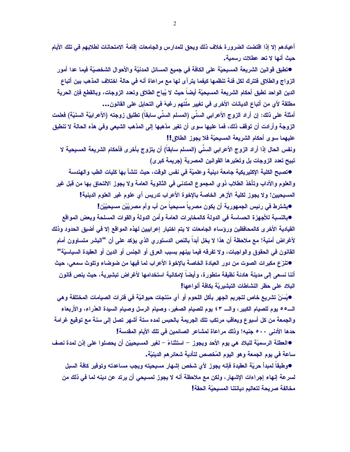أعيادهم إلا إذا اقتضت الضرورة خلاف ذلك ويحق للمدارس والجامعات إقامة الامتحانات لطلابهم في تلك الأيام حبث أنها لا تعد عطلات رسمبة.

●تطبق قوانين الشريعة المسيحيّة على الكافة في جميع المسائل المدنيّة والأحوال الشخصيّة فيما عدا أمور الزواج والطلاق فتترك لكل فئة تنظمها كيفما يترآى لها مع مراعاة أنه فى حالة اختلاف المذهب بين أتباع الدين الواحد تطبق أحكام الشريعة المسيحيّة أيضاً حيث لا يُباح الطلاق وتعدد الزوجات، وبالقطع فإن الحرية مطلقة لأي من أتباع الديانات الأخرى في تغيير ملَّتهم رغبهَ في التحايل على القانون...

أمثلة على ذلك: إن أراد الزوج الأعرابي السنِّي (المسلم السنِّي سابقاً) تطليق زوجته (الأعرابيّة السنيّة) فعلمت الزوجة وأرادت أن توقف ذلك، فما عليها سوى أن تغير مذهبها إلى المذهب الشيعي وفي هذه الحالة لا تنطبق عليهما سوى أحكام الشريعة المسيحيّة فلا يجوز الطلاق!!

ونفس الحال إذا أراد الزوج الأعرابي السنِّي (المسلم سابقاً) أن يتزوج بأخرى فأحكام الشريعة المسيحية لا تبيح تعدد الزوجات بل وتعتبرها القوانين المصرية (جريمة كبرى)

●تصبح الكلية الإكليريكية جامعة دينية وعلميّة في نفس الوقت، حيث تنشأ بها كليات الطب والهندسة والعلوم والآداب وتأخذ الطلاب ذوي المجموع المتدنى في الثانوية العامة ولا يجوز الالتحاق بها من قبل غير المسيحيين! ولا يجوز لكلية الأزهر الخاصة بالإخوة الأعراب تدريس أي علوم غير العلوم الدينية! ●يشترط في رئيس الجمهورية أن يكون مصرياً مسبحياً من أب وأم مصريِّيْن مسبِحيِّيْن!

●بالنسبة للأجهزة الحساسة في الدولة كالمخابرات العامة وأمن الدولة والقوات المسلحة ويعض المواقع القيادية الأخرى كالمحافظين ورؤساء الجامعات لا يتم اختيار إعرابيين لهذه المواقع إلا في أضيق الحدود وذلك لأغراض أمنية! مع ملاحظة أن هذا لا يخل أبداً بالنص الدستور يالذي يؤكد على أن "البشر متساوون أمام القانون في الحقوق والواجبات، ولا تفرقه فيما بينهم بسبب العرق أو الجنس أو الدين أو العقيدة السياسيّة" ●تنزَع مكبرات الصوت من دور العبادة الخاصة بالإخوة الأعراب لما فيها من ضوضاء وتلوث سمعي، حيث أننا نسعي إلى مدينة هادئة نظيفة متطورة، وأيضاً لإمكانية استخدامها لأغراض تبشيرية، حيث ينص قانون البلاد على حظر النشاطات التبشيريّة بكافة أنواعها!

●يُسَنّ تشريع خاص لتجريم الجهر بأكل اللحوم أو أي منتجات حيوانيّة في فترات الصيامات المختلفة و.هي الـــــ٥٥ يوم للصيام الكبير ، والــــ ٤٣ يوم للصيام الصغير ، وصيام الرسل وصيام السيدة العذراء، والأربعاء والجمعة من كل أسبوع ويعاقب مرتكب تلك الجريمة بالحبس لمده ستة أشهر تصل إلى سنة مع توقيع غرامة حدها الأدنى ٥٠٠ جنيه! وذلك مراعاة لمشاعر الصائمين في تلك الأيام المقدسة!

●العطلة الرسميّة للبلاد هي يوم الأحد ويجوز – استثناءً – لغير المسيحييّن أن يحصلوا على إذن لمدة نصف ساعة في يوم الجمعة وهو اليوم المُخصص لتأدية شعائرهم الدينيّة..

●وطبقاً لمبدأ حريّة العقيدة فإنه يجوز لأى شخص إشهار مسيحيته ويجب مساعدته وتوفير كافة السبل لسرعة إنهاء إجراءات الإشهار، ولكن مع ملاحظة أنه لا يجوز لمسيحي أن يرتد عن دينه لما في ذلك من مخالفة صريحة لتعاليم ديانتنا المسيحيّة الحقة!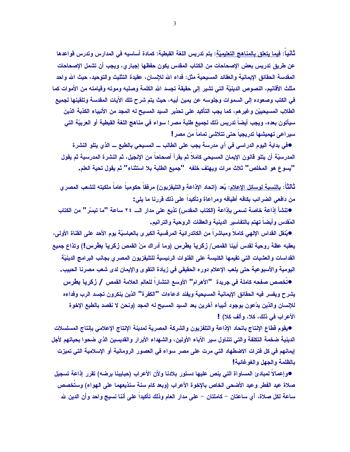تْأنيا: فيما يتعلق بالمناهج التعليميّة: يتم تدريس اللغة القبطية: كمادة أساسيه في المدارس وتدرس قواعدها عن طريق تدريس بعض الإصحاحات من الكتاب المقدس يكون حفظها إجبار ى، ويجب أن تشمل الإصحاحات المقدسة الحقائق الإيمانية والعقائد المسيحية مثل: فداء الله للإسبان، عقيدة التثليث والتوحيد، حيث الله واحد مثلث الأقانيم، النصوص الدينيّة التي تشير. إلى حقيقة تجسد الله الكلمة وصلبه وموته وقيامته من الأموات كما في الكتب وصعوده إلى السموات وجلوسه عن يمين أبيه، حيث يتم شرح تلك الآيات المقدسة وتلقينها لجميع الطلاب المسيحييّن وغير هم، كما يجب التأكيد على تحذير السيد المسيح له المجد من الأنبياء الكذبة الذين سيأتون بعده، ويجب أيضاً تدريس ذلك لجميع طلبة مصر ! سواء في مناهج اللغة القبطية أو العربيّة التي سيراعي تهميشها تدريجياً حتى تتلاشى تماماً من مصر <u>!</u>

●في بداية اليوم الدراسي في أي مدرسة يجب على الطالب ـــ المسيحي بالطبع ـــ الذي يتلو النشرة المدرسيّة أن يتلو قانون الإيمان المسيحي كاملاً ثم يقرأ أصحاحاً من الإنجيل، ثم النشرة المدرسية ثم يقول "يسوع هو المخلص" ثلاث مرات ويهتف خلفه "'جميع الطلبة بلا استثناء" ثم يقول تحية العلم.

ثالثاً: بالنسبة لوسائل الإعلام: يُعد (اتحاد الإذاعة والتليفزيون) مرفقاً حكومياً عاماً ملكيته للشعب المصرى من دافعي الضرائب بكافه أطيافه ومراعاة وتأكيداً على ذلك قررنا ما يلي:

●تنشأ إذاعة خاصة تسمى بإذاعة (الكتاب المقدس) تذيع على مدار الــــ ٢٤ ساعة "ما تيسّر " من الكتاب المُقدس وأيضاً تهتم بالتفاسير الدينية والعظات الروحية والترانيم.

●يُنقل القداس الإلهي كاملاً ومباشراً من الكاتدرائية المرفسية الكبر ي بالعباسيّة يوم الأحد على القناة الأولى، يعقبه عظة روحية لقدس أبينا القمص/ زكريا بطرس (وما أدراك مَنْ القمص زكريا بطرس!) وتذاع جميع القداسات والعشيات التي تقيمها الكنيسة على القنوات الرئيسية للتليفزيون المصرى بجانب البرامج الدينيّة اليومية والأسبوعية حتى يلعب الإعلام دوره الحقيقي في زيادة التقوى والإيمان لدى شعب مصرنا الحبيب. ●تُخصص صفحه كاملة في جريدة "الأهرام" الأوسع انتشاراً للعالم العلامة القمص / زكريا بطرس يشرح ويفسر فيه الحقائق الإيمانية المسيحية ويفند ادعاءات "الكفرة" الذين بنكرون تجسد الرب وفداءه

للإنسان والذين يدّعون بوجود أنبياء آخرين بعد السيد المسيح له المجد (ونحن لا نقصد بالطبع الإخوة الأعراب في ذلك، كلا، وألف كلا) !

●يقوم قطاع الإنتاج باتحاد الإذاعة والتلفزيون والشركة المصرية لمدينة الإنتاج الإعلامي بإنتاج المسلسلات الدينية ضخمة التكلفة والتي تتناول سير الآباء الأولين، والشهداء الأبرار والقديسين الذي ضحوا بحياتهم لأجل إيمانهم في كل فترات الاضطهاد التي مرت على مصر سواء في العصور الرومانية أو الإسلامية التي تميزت بالظلمة والجهل والغوغائية!

●وإعمالا لمبادئ المساواة التي ينص عليها دستور بلادنا ولأن الأعراب (حبايبنا برضه) تقرر إذاعة تسجيل صلاة عيد الفطر وعيد الأضحى الخاص بالإخوة الأعراب (وبعد كام سنة سنذيعهما على الهواء) وستخصص ساعة لكل صلاة، أي ساعتان – كاملتان – على مدار العام وذلك تأكيدا على أننا نسيج واحد وأن الدين لله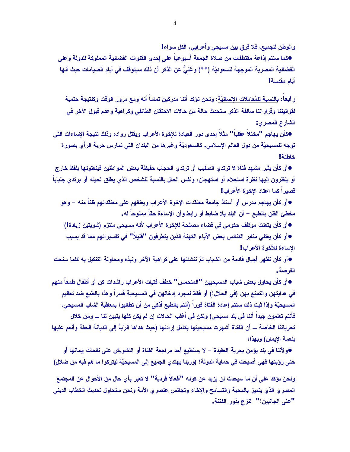والوطن للجميع، فلا فرق بين مسيحي وأعرابي، الكل سواء!

●كما ستتم إذاعة مقتطفات من صلاة الجمعة أسبوعياً على إحدى القنوات الفضائية المملوكة للدولة وعلى الفضائية المصرية الموجهة للسعوديّة (\*\*) وغنيٌّ عن الذكر أن ذلك سبِتوقف في أيام الصيامات حيث أنها أيام مقدسة!

ر ا**بـعا**: بـالنسبـة للمُعامـلات الإنسـانيّـة: ونـحن نـؤكد أننـا مدركين تمـامـاً أنـه و.مـع مرور الوقت وكنتيجة حتمية لقو انيننا وقر ار اتنا سالفة الذكر ستحدث حالة من حالات الاحتقان الطائفي وكر اهية وعدم قبول الآخر في الشارع المصرى:

●كأن يهاجم "مختلاً عقلياً" مثلاً إحدى دور العبادة للإخوة الأعراب ويقتل رواده وذلك نتيجة الإساءات التي توجه للمسيحيّة من دول العالم الإسلامي. كالسعوديّة وغيرها من البلدان التي تمارس حرية الرأى بصورة خاطئة!

●أو كأن يثير مشهد فتاة لا ترتدى الصليب أو ترتدى الحجاب حفيظة بعض المواطنين فينعتونها بلفظ خارج أو ينظرون إليها نظرة استعلاء أو استهجان، ونفس الحال بالنسبة للشخص الذي يطلق لحيته أو يرتدي جلبابا قصيرا كما اعتاد الإخوة الأعراب!

●أو كأن يهاجم مدرس أو أستاذ جامعة معتقدات الإخوة الأعراب ويعنفهم على معتقداتهم ظناً منه – وهو مخطئ الظن بالطبع – أن البلد بلا ضابط أو رابط وأن الإساءة حقاً ممنوحاً له.

●أو كأن يتعنت موظف حكومي في قضاء مصلحة للإخوة الأعراب لأنه مسيحي ملتزم (شويتين زيادة!)

●أو كأن يعتلي منابر الكنائس بعض الآباء الكهنة الذين يتطرفون "قليلاً" في تفسيراتهم مما قد يسبب الإساءة للأخوة الأعراب!

●أو كأن تظهر أجيال قادمة من الشباب تمّ تنشئتها على كراهية الآخر ونبذه ومحاولة التنكيل به كلما سنحت الفر صبة..

●أو كأن يحاول بعض شباب المسبحيين "المتحمس" خطف فتيات الأعراب راشدات كن أو أطفال طمعاً منهم في هدايتهن والتمتع بهن (في الحلال!) أو فقط لمجرد إدخالهن في المسبحية قسراً وهذا بالطبع ضد تعاليم المسبحيّة وإذا ثبت ذلك ستتم إعادة الفتاة فوراً (أنتم بالطبع أذكى من أن تطالبوا بمعاقبة الشاب المسبحى، فأنتم تعلمون جيداً أننا في بلد مسيحي) ولكن في أغلب الحالات إن لم يكن كلها يتبين لنا ــــ ومن خلال تحرياتنا الخاصة ـــ أن الفتاة أشهرت مسيحيتها بكامل إرادتها (حيث هداها الرّبُّ إلى الديانة الحقة وأنعم عليها بنعمة الإيمان) وبهذا؛

●و لأننا في بلد يؤمن بحرية العقيدة – لا يستطيع أحد مراجعة الفتاة أو التشويش على نفحات إيمانها أو حتى رؤيتها فهى أصبحت فى حماية الدولة! (وربنا يهتدي الجميع إلى المسبحيّة ليتركوا ما هم فيه من ضلال)

ونحن نؤكد على أن ما سيحدث لن يزيد عن كونه "أفعالاً فردية" لا تعبر بأى حال من الأحوال عن المجتمع المصرى الذي يتميز بالمحبة والتسامح والإخاء وتجانس عنصرى الأمة ونحن سنحاول تحديث الخطاب الديني "على الجانبين!" لنزع بذور الفتنة.